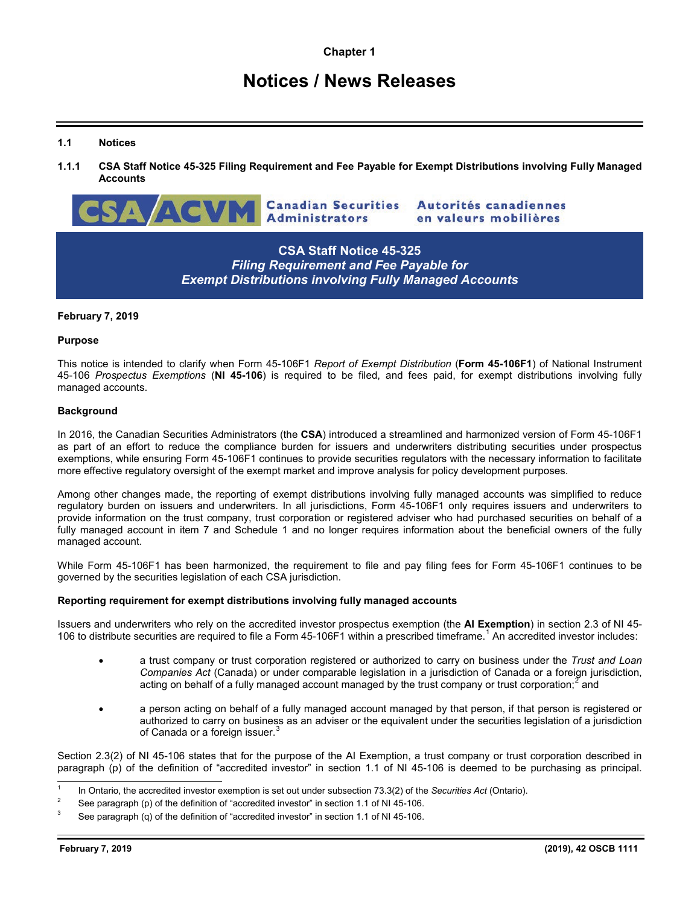# **Notices / News Releases**

## **1.1 Notices**

1.1.1 CSA Staff Notice 45-325 Filing Requirement and Fee Payable for Exempt Distributions involving Fully Managed **Accounts**



# **CSA Staff Notice 45-325** *Filing Requirement and Fee Payable for Exempt Distributions involving Fully Managed Accounts*

#### **February 7, 2019**

#### **Purpose**

This notice is intended to clarify when Form 45-106F1 *Report of Exempt Distribution* (**Form 45-106F1**) of National Instrument 45-106 *Prospectus Exemptions* (**NI 45-106**) is required to be filed, and fees paid, for exempt distributions involving fully managed accounts.

### **Background**

In 2016, the Canadian Securities Administrators (the **CSA**) introduced a streamlined and harmonized version of Form 45-106F1 as part of an effort to reduce the compliance burden for issuers and underwriters distributing securities under prospectus exemptions, while ensuring Form 45-106F1 continues to provide securities regulators with the necessary information to facilitate more effective regulatory oversight of the exempt market and improve analysis for policy development purposes.

Among other changes made, the reporting of exempt distributions involving fully managed accounts was simplified to reduce regulatory burden on issuers and underwriters. In all jurisdictions, Form 45-106F1 only requires issuers and underwriters to provide information on the trust company, trust corporation or registered adviser who had purchased securities on behalf of a fully managed account in item 7 and Schedule 1 and no longer requires information about the beneficial owners of the fully managed account.

While Form 45-106F1 has been harmonized, the requirement to file and pay filing fees for Form 45-106F1 continues to be governed by the securities legislation of each CSA jurisdiction.

#### **Reporting requirement for exempt distributions involving fully managed accounts**

Issuers and underwriters who rely on the accredited investor prospectus exemption (the **AI Exemption**) in section 2.3 of NI 45- [1](#page-0-0)06 to distribute securities are required to file a Form 45-106F1 within a prescribed timeframe.<sup>1</sup> An accredited investor includes:

- a trust company or trust corporation registered or authorized to carry on business under the *Trust and Loan Companies Act* (Canada) or under comparable legislation in a jurisdiction of Canada or a foreign jurisdiction, acting on behalf of a fully managed account managed by the trust company or trust corporation;<sup>[2](#page-0-1)</sup> and
- a person acting on behalf of a fully managed account managed by that person, if that person is registered or authorized to carry on business as an adviser or the equivalent under the securities legislation of a jurisdiction of Canada or a foreign issuer.<sup>[3](#page-0-2)</sup>

Section 2.3(2) of NI 45-106 states that for the purpose of the AI Exemption, a trust company or trust corporation described in paragraph (p) of the definition of "accredited investor" in section 1.1 of NI 45-106 is deemed to be purchasing as principal.

<span id="page-0-0"></span> <sup>1</sup> In Ontario, the accredited investor exemption is set out under subsection 73.3(2) of the *Securities Act* (Ontario).

<span id="page-0-1"></span><sup>2</sup> See paragraph (p) of the definition of "accredited investor" in section 1.1 of NI 45-106.

<span id="page-0-2"></span>See paragraph (q) of the definition of "accredited investor" in section 1.1 of NI 45-106.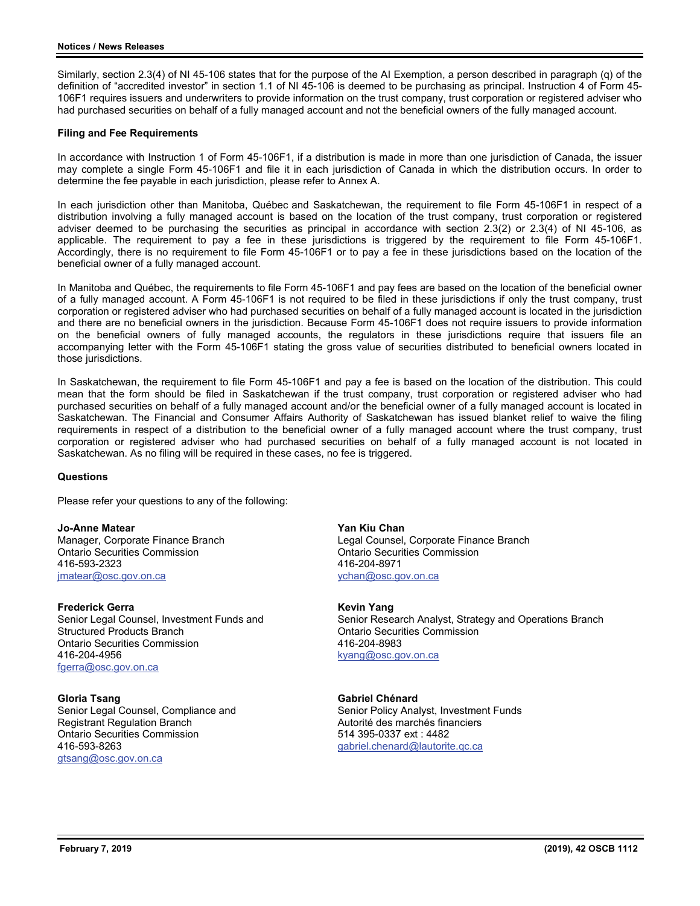Similarly, section 2.3(4) of NI 45-106 states that for the purpose of the AI Exemption, a person described in paragraph (q) of the definition of "accredited investor" in section 1.1 of NI 45-106 is deemed to be purchasing as principal. Instruction 4 of Form 45- 106F1 requires issuers and underwriters to provide information on the trust company, trust corporation or registered adviser who had purchased securities on behalf of a fully managed account and not the beneficial owners of the fully managed account.

#### **Filing and Fee Requirements**

In accordance with Instruction 1 of Form 45-106F1, if a distribution is made in more than one jurisdiction of Canada, the issuer may complete a single Form 45-106F1 and file it in each jurisdiction of Canada in which the distribution occurs. In order to determine the fee payable in each jurisdiction, please refer to Annex A.

In each jurisdiction other than Manitoba, Québec and Saskatchewan, the requirement to file Form 45-106F1 in respect of a distribution involving a fully managed account is based on the location of the trust company, trust corporation or registered adviser deemed to be purchasing the securities as principal in accordance with section 2.3(2) or 2.3(4) of NI 45-106, as applicable. The requirement to pay a fee in these jurisdictions is triggered by the requirement to file Form 45-106F1. Accordingly, there is no requirement to file Form 45-106F1 or to pay a fee in these jurisdictions based on the location of the beneficial owner of a fully managed account.

In Manitoba and Québec, the requirements to file Form 45-106F1 and pay fees are based on the location of the beneficial owner of a fully managed account. A Form 45-106F1 is not required to be filed in these jurisdictions if only the trust company, trust corporation or registered adviser who had purchased securities on behalf of a fully managed account is located in the jurisdiction and there are no beneficial owners in the jurisdiction. Because Form 45-106F1 does not require issuers to provide information on the beneficial owners of fully managed accounts, the regulators in these jurisdictions require that issuers file an accompanying letter with the Form 45-106F1 stating the gross value of securities distributed to beneficial owners located in those jurisdictions.

In Saskatchewan, the requirement to file Form 45-106F1 and pay a fee is based on the location of the distribution. This could mean that the form should be filed in Saskatchewan if the trust company, trust corporation or registered adviser who had purchased securities on behalf of a fully managed account and/or the beneficial owner of a fully managed account is located in Saskatchewan. The Financial and Consumer Affairs Authority of Saskatchewan has issued blanket relief to waive the filing requirements in respect of a distribution to the beneficial owner of a fully managed account where the trust company, trust corporation or registered adviser who had purchased securities on behalf of a fully managed account is not located in Saskatchewan. As no filing will be required in these cases, no fee is triggered.

#### **Questions**

Please refer your questions to any of the following:

**Jo-Anne Matear** Manager, Corporate Finance Branch Ontario Securities Commission 416-593-2323 [jmatear@osc.gov.on.ca](mailto:jmatear@osc.gov.on.ca)

**Frederick Gerra** Senior Legal Counsel, Investment Funds and Structured Products Branch Ontario Securities Commission 416-204-4956 [fgerra@osc.gov.on.ca](mailto:fgerra@osc.gov.on.ca) 

**Gloria Tsang** Senior Legal Counsel, Compliance and Registrant Regulation Branch Ontario Securities Commission 416-593-8263 [gtsang@osc.gov.on.ca](mailto:gtsang@osc.gov.on.ca)

**Yan Kiu Chan** Legal Counsel, Corporate Finance Branch Ontario Securities Commission 416-204-8971 [ychan@osc.gov.on.ca](mailto:ychan@osc.gov.on.ca)

**Kevin Yang** Senior Research Analyst, Strategy and Operations Branch Ontario Securities Commission 416-204-8983

[kyang@osc.gov.on.ca](mailto:kyang@osc.gov.on.ca)

**Gabriel Chénard** Senior Policy Analyst, Investment Funds Autorité des marchés financiers 514 395-0337 ext : 4482 [gabriel.chenard@lautorite.qc.ca](mailto:gabriel.chenard@lautorite.qc.ca)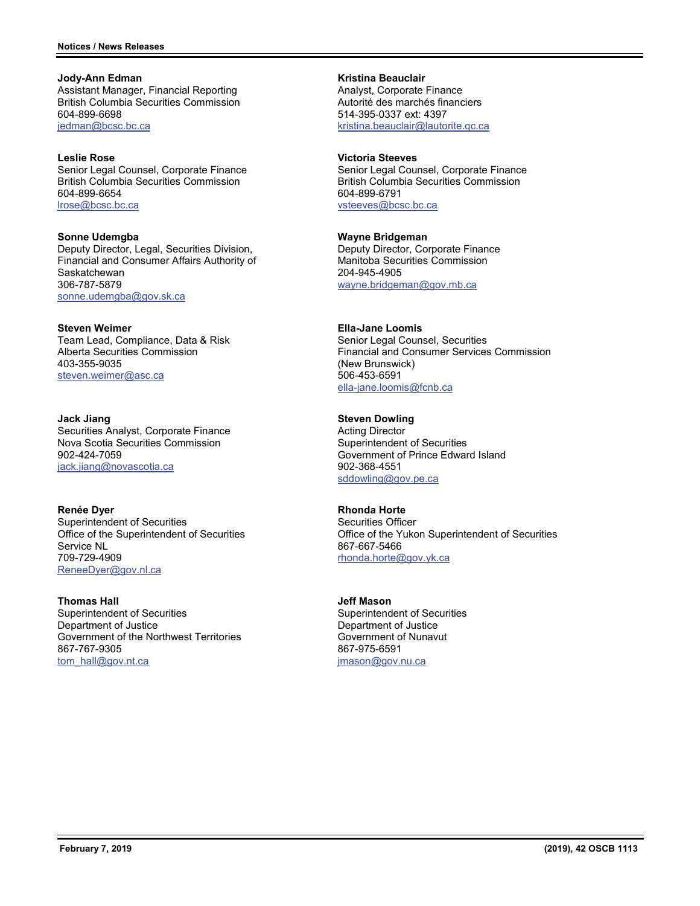**Jody-Ann Edman** Assistant Manager, Financial Reporting British Columbia Securities Commission 604-899-6698 [jedman@bcsc.bc.ca](mailto:jedman@bcsc.bc.ca)

**Leslie Rose** Senior Legal Counsel, Corporate Finance British Columbia Securities Commission 604-899-6654 [lrose@bcsc.bc.ca](mailto:lrose@bcsc.bc.ca)

**Sonne Udemgba** Deputy Director, Legal, Securities Division, Financial and Consumer Affairs Authority of **Saskatchewan** 306-787-5879 [sonne.udemgba@gov.sk.ca](mailto:sonne.udemgba@gov.sk.ca)

**Steven Weimer** Team Lead, Compliance, Data & Risk Alberta Securities Commission 403-355-9035 [steven.weimer@asc.ca](mailto:steven.weimer@asc.ca)

**Jack Jiang** Securities Analyst, Corporate Finance Nova Scotia Securities Commission 902-424-7059 [jack.jiang@novascotia.ca](mailto:jack.jiang@novascotia.ca)

**Renée Dyer** Superintendent of Securities Office of the Superintendent of Securities Service NL 709-729-4909 [ReneeDyer@gov.nl.ca](mailto:ReneeDyer@gov.nl.ca)

**Thomas Hall** Superintendent of Securities Department of Justice Government of the Northwest Territories 867-767-9305 [tom\\_hall@gov.nt.ca](mailto:tom_hall@gov.nt.ca)

**Kristina Beauclair** Analyst, Corporate Finance Autorité des marchés financiers 514-395-0337 ext: 4397 [kristina.beauclair@lautorite.qc.ca](mailto:kristina.beauclair@lautorite.qc.ca)

**Victoria Steeves** Senior Legal Counsel, Corporate Finance British Columbia Securities Commission 604-899-6791 [vsteeves@bcsc.bc.ca](mailto:vsteeves@bcsc.bc.ca)

**Wayne Bridgeman** Deputy Director, Corporate Finance Manitoba Securities Commission 204-945-4905 [wayne.bridgeman@gov.mb.ca](mailto:wayne.bridgeman@gov.mb.ca)

**Ella-Jane Loomis** Senior Legal Counsel, Securities Financial and Consumer Services Commission (New Brunswick) 506-453-6591 [ella-jane.loomis@fcnb.ca](mailto:ella-jane.loomis@fcnb.ca)

**Steven Dowling** Acting Director Superintendent of Securities Government of Prince Edward Island 902-368-4551 [sddowling@gov.pe.ca](mailto:sddowling@gov.pe.ca)

**Rhonda Horte** Securities Officer Office of the Yukon Superintendent of Securities 867-667-5466 [rhonda.horte@gov.yk.ca](mailto:rhonda.horte@gov.yk.ca)

**Jeff Mason** Superintendent of Securities Department of Justice Government of Nunavut 867-975-6591 [jmason@gov.nu.ca](mailto:jmason@gov.nu.ca)